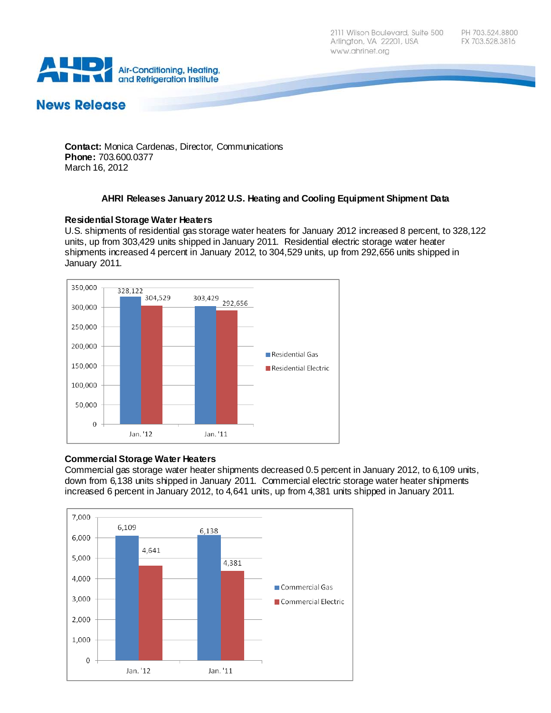2111 Wilson Boulevard, Suite 500 Arlington, VA 22201, USA www.ahrinet.org



# **News Release**

**Contact:** Monica Cardenas, Director, Communications **Phone:** 703.600.0377 March 16, 2012

## **AHRI Releases January 2012 U.S. Heating and Cooling Equipment Shipment Data**

#### **Residential Storage Water Heaters**

U.S. shipments of residential gas storage water heaters for January 2012 increased 8 percent, to 328,122 units, up from 303,429 units shipped in January 2011. Residential electric storage water heater shipments increased 4 percent in January 2012, to 304,529 units, up from 292,656 units shipped in January 2011.



#### **Commercial Storage Water Heaters**

Commercial gas storage water heater shipments decreased 0.5 percent in January 2012, to 6,109 units, down from 6,138 units shipped in January 2011. Commercial electric storage water heater shipments increased 6 percent in January 2012, to 4,641 units, up from 4,381 units shipped in January 2011.

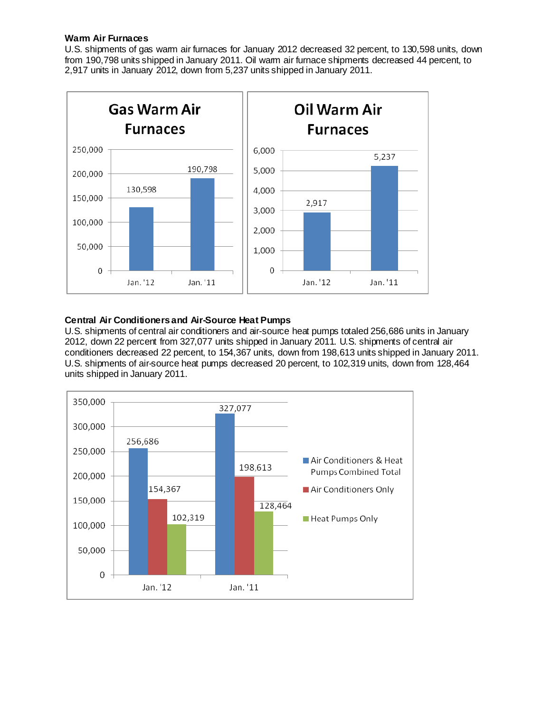#### **Warm Air Furnaces**

U.S. shipments of gas warm air furnaces for January 2012 decreased 32 percent, to 130,598 units, down from 190,798 units shipped in January 2011. Oil warm air furnace shipments decreased 44 percent, to 2,917 units in January 2012, down from 5,237 units shipped in January 2011.



## **Central Air Conditioners and Air-Source Heat Pumps**

U.S. shipments of central air conditioners and air-source heat pumps totaled 256,686 units in January 2012, down 22 percent from 327,077 units shipped in January 2011. U.S. shipments of central air conditioners decreased 22 percent, to 154,367 units, down from 198,613 units shipped in January 2011. U.S. shipments of air-source heat pumps decreased 20 percent, to 102,319 units, down from 128,464 units shipped in January 2011.